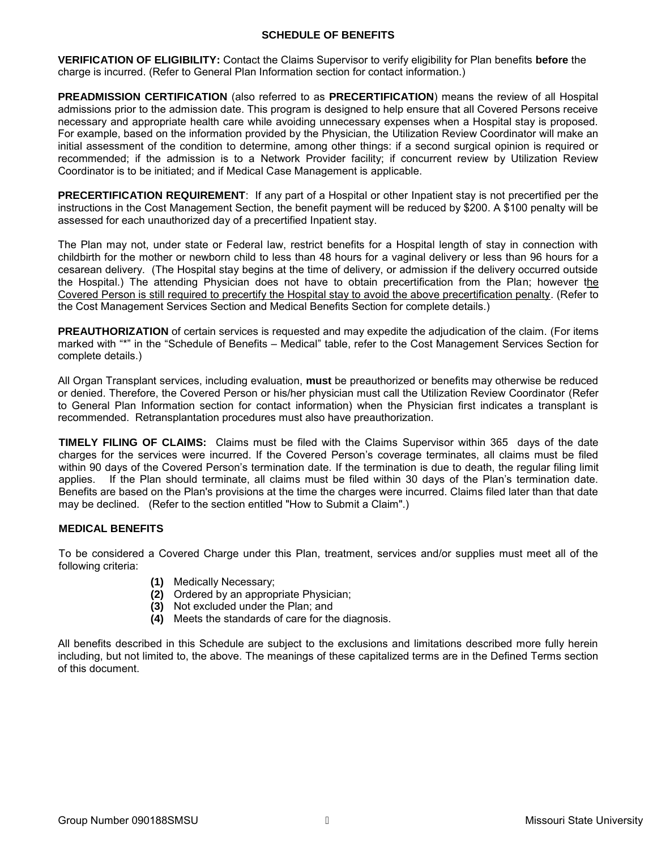## **SCHEDULE OF BENEFITS**

**VERIFICATION OF ELIGIBILITY:** Contact the Claims Supervisor to verify eligibility for Plan benefits **before** the charge is incurred. (Refer to General Plan Information section for contact information.)

**PREADMISSION CERTIFICATION** (also referred to as **PRECERTIFICATION**) means the review of all Hospital admissions prior to the admission date. This program is designed to help ensure that all Covered Persons receive necessary and appropriate health care while avoiding unnecessary expenses when a Hospital stay is proposed. For example, based on the information provided by the Physician, the Utilization Review Coordinator will make an initial assessment of the condition to determine, among other things: if a second surgical opinion is required or recommended; if the admission is to a Network Provider facility; if concurrent review by Utilization Review Coordinator is to be initiated; and if Medical Case Management is applicable.

**PRECERTIFICATION REQUIREMENT**: If any part of a Hospital or other Inpatient stay is not precertified per the instructions in the Cost Management Section, the benefit payment will be reduced by \$200. A \$100 penalty will be assessed for each unauthorized day of a precertified Inpatient stay.

The Plan may not, under state or Federal law, restrict benefits for a Hospital length of stay in connection with childbirth for the mother or newborn child to less than 48 hours for a vaginal delivery or less than 96 hours for a cesarean delivery. (The Hospital stay begins at the time of delivery, or admission if the delivery occurred outside the Hospital.) The attending Physician does not have to obtain precertification from the Plan; however the Covered Person is still required to precertify the Hospital stay to avoid the above precertification penalty. (Refer to the Cost Management Services Section and Medical Benefits Section for complete details.)

**PREAUTHORIZATION** of certain services is requested and may expedite the adjudication of the claim. (For items marked with "\*" in the "Schedule of Benefits – Medical" table, refer to the Cost Management Services Section for complete details.)

All Organ Transplant services, including evaluation, **must** be preauthorized or benefits may otherwise be reduced or denied. Therefore, the Covered Person or his/her physician must call the Utilization Review Coordinator (Refer to General Plan Information section for contact information) when the Physician first indicates a transplant is recommended. Retransplantation procedures must also have preauthorization.

**TIMELY FILING OF CLAIMS:** Claims must be filed with the Claims Supervisor within 365 days of the date charges for the services were incurred. If the Covered Person's coverage terminates, all claims must be filed within 90 days of the Covered Person's termination date. If the termination is due to death, the regular filing limit applies. If the Plan should terminate, all claims must be filed within 30 days of the Plan's termination date. Benefits are based on the Plan's provisions at the time the charges were incurred. Claims filed later than that date may be declined. (Refer to the section entitled "How to Submit a Claim".)

# **MEDICAL BENEFITS**

To be considered a Covered Charge under this Plan, treatment, services and/or supplies must meet all of the following criteria:

- **(1)** Medically Necessary;
- **(2)** Ordered by an appropriate Physician;
- **(3)** Not excluded under the Plan; and
- **(4)** Meets the standards of care for the diagnosis.

All benefits described in this Schedule are subject to the exclusions and limitations described more fully herein including, but not limited to, the above. The meanings of these capitalized terms are in the Defined Terms section of this document.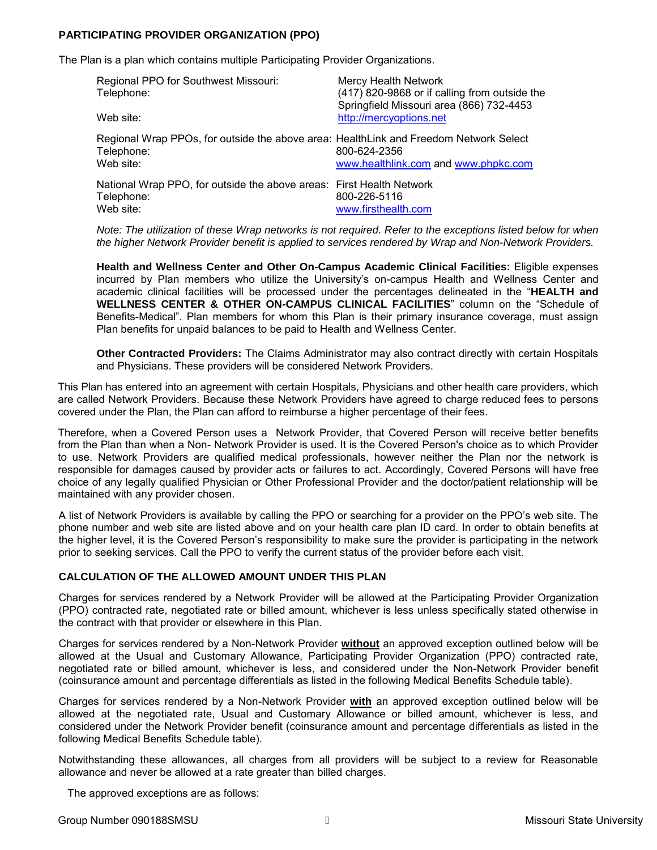# **PARTICIPATING PROVIDER ORGANIZATION (PPO)**

The Plan is a plan which contains multiple Participating Provider Organizations.

| Regional PPO for Southwest Missouri:<br>Telephone:<br>Web site:                                                  | <b>Mercy Health Network</b><br>(417) 820-9868 or if calling from outside the<br>Springfield Missouri area (866) 732-4453<br>http://mercyoptions.net |
|------------------------------------------------------------------------------------------------------------------|-----------------------------------------------------------------------------------------------------------------------------------------------------|
|                                                                                                                  |                                                                                                                                                     |
| Regional Wrap PPOs, for outside the above area: HealthLink and Freedom Network Select<br>Telephone:<br>Web site: | 800-624-2356<br>www.healthlink.com and www.phpkc.com                                                                                                |
| National Wrap PPO, for outside the above areas: First Health Network<br>Telephone:<br>Web site:                  | 800-226-5116<br>www.firsthealth.com                                                                                                                 |

*Note: The utilization of these Wrap networks is not required. Refer to the exceptions listed below for when the higher Network Provider benefit is applied to services rendered by Wrap and Non-Network Providers.* 

**Health and Wellness Center and Other On-Campus Academic Clinical Facilities:** Eligible expenses incurred by Plan members who utilize the University's on-campus Health and Wellness Center and academic clinical facilities will be processed under the percentages delineated in the "**HEALTH and WELLNESS CENTER & OTHER ON-CAMPUS CLINICAL FACILITIES**" column on the "Schedule of Benefits-Medical". Plan members for whom this Plan is their primary insurance coverage, must assign Plan benefits for unpaid balances to be paid to Health and Wellness Center.

**Other Contracted Providers:** The Claims Administrator may also contract directly with certain Hospitals and Physicians. These providers will be considered Network Providers.

This Plan has entered into an agreement with certain Hospitals, Physicians and other health care providers, which are called Network Providers. Because these Network Providers have agreed to charge reduced fees to persons covered under the Plan, the Plan can afford to reimburse a higher percentage of their fees.

Therefore, when a Covered Person uses a Network Provider, that Covered Person will receive better benefits from the Plan than when a Non- Network Provider is used. It is the Covered Person's choice as to which Provider to use. Network Providers are qualified medical professionals, however neither the Plan nor the network is responsible for damages caused by provider acts or failures to act. Accordingly, Covered Persons will have free choice of any legally qualified Physician or Other Professional Provider and the doctor/patient relationship will be maintained with any provider chosen.

A list of Network Providers is available by calling the PPO or searching for a provider on the PPO's web site. The phone number and web site are listed above and on your health care plan ID card. In order to obtain benefits at the higher level, it is the Covered Person's responsibility to make sure the provider is participating in the network prior to seeking services. Call the PPO to verify the current status of the provider before each visit.

### **CALCULATION OF THE ALLOWED AMOUNT UNDER THIS PLAN**

Charges for services rendered by a Network Provider will be allowed at the Participating Provider Organization (PPO) contracted rate, negotiated rate or billed amount, whichever is less unless specifically stated otherwise in the contract with that provider or elsewhere in this Plan.

Charges for services rendered by a Non-Network Provider **without** an approved exception outlined below will be allowed at the Usual and Customary Allowance, Participating Provider Organization (PPO) contracted rate, negotiated rate or billed amount, whichever is less, and considered under the Non-Network Provider benefit (coinsurance amount and percentage differentials as listed in the following Medical Benefits Schedule table).

Charges for services rendered by a Non-Network Provider **with** an approved exception outlined below will be allowed at the negotiated rate, Usual and Customary Allowance or billed amount, whichever is less, and considered under the Network Provider benefit (coinsurance amount and percentage differentials as listed in the following Medical Benefits Schedule table).

Notwithstanding these allowances, all charges from all providers will be subject to a review for Reasonable allowance and never be allowed at a rate greater than billed charges.

The approved exceptions are as follows: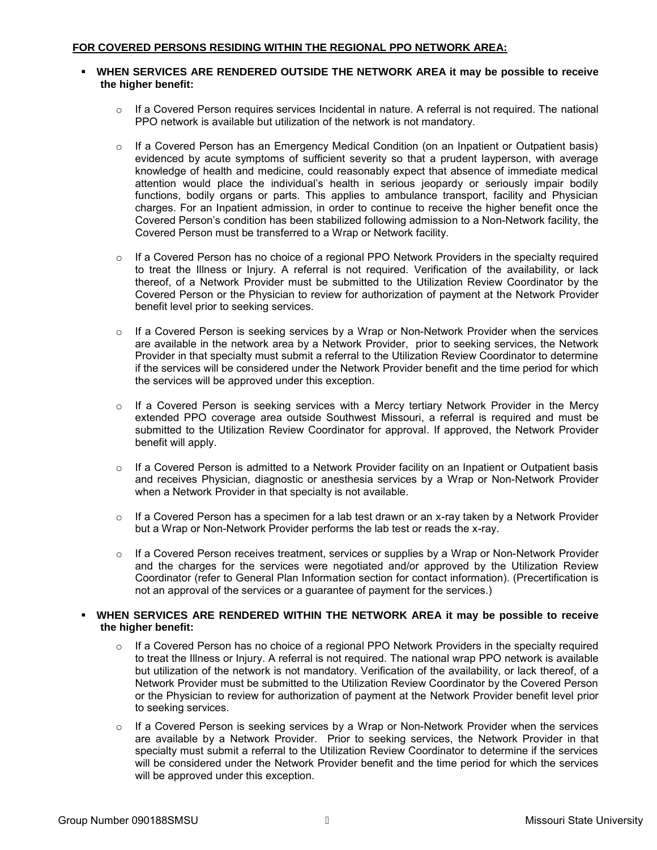### **WHEN SERVICES ARE RENDERED OUTSIDE THE NETWORK AREA it may be possible to receive the higher benefit:**

- $\circ$  If a Covered Person requires services Incidental in nature. A referral is not required. The national PPO network is available but utilization of the network is not mandatory.
- $\circ$  If a Covered Person has an Emergency Medical Condition (on an Inpatient or Outpatient basis) evidenced by acute symptoms of sufficient severity so that a prudent layperson, with average knowledge of health and medicine, could reasonably expect that absence of immediate medical attention would place the individual's health in serious jeopardy or seriously impair bodily functions, bodily organs or parts. This applies to ambulance transport, facility and Physician charges. For an Inpatient admission, in order to continue to receive the higher benefit once the Covered Person's condition has been stabilized following admission to a Non-Network facility, the Covered Person must be transferred to a Wrap or Network facility.
- $\circ$  If a Covered Person has no choice of a regional PPO Network Providers in the specialty required to treat the Illness or Injury. A referral is not required. Verification of the availability, or lack thereof, of a Network Provider must be submitted to the Utilization Review Coordinator by the Covered Person or the Physician to review for authorization of payment at the Network Provider benefit level prior to seeking services.
- $\circ$  If a Covered Person is seeking services by a Wrap or Non-Network Provider when the services are available in the network area by a Network Provider, prior to seeking services, the Network Provider in that specialty must submit a referral to the Utilization Review Coordinator to determine if the services will be considered under the Network Provider benefit and the time period for which the services will be approved under this exception.
- $\circ$  If a Covered Person is seeking services with a Mercy tertiary Network Provider in the Mercy extended PPO coverage area outside Southwest Missouri, a referral is required and must be submitted to the Utilization Review Coordinator for approval. If approved, the Network Provider benefit will apply.
- $\circ$  If a Covered Person is admitted to a Network Provider facility on an Inpatient or Outpatient basis and receives Physician, diagnostic or anesthesia services by a Wrap or Non-Network Provider when a Network Provider in that specialty is not available.
- $\circ$  If a Covered Person has a specimen for a lab test drawn or an x-ray taken by a Network Provider but a Wrap or Non-Network Provider performs the lab test or reads the x-ray.
- $\circ$  If a Covered Person receives treatment, services or supplies by a Wrap or Non-Network Provider and the charges for the services were negotiated and/or approved by the Utilization Review Coordinator (refer to General Plan Information section for contact information). (Precertification is not an approval of the services or a guarantee of payment for the services.)

### **WHEN SERVICES ARE RENDERED WITHIN THE NETWORK AREA it may be possible to receive the higher benefit:**

- $\circ$  If a Covered Person has no choice of a regional PPO Network Providers in the specialty required to treat the Illness or Injury. A referral is not required. The national wrap PPO network is available but utilization of the network is not mandatory. Verification of the availability, or lack thereof, of a Network Provider must be submitted to the Utilization Review Coordinator by the Covered Person or the Physician to review for authorization of payment at the Network Provider benefit level prior to seeking services.
- o If a Covered Person is seeking services by a Wrap or Non-Network Provider when the services are available by a Network Provider. Prior to seeking services, the Network Provider in that specialty must submit a referral to the Utilization Review Coordinator to determine if the services will be considered under the Network Provider benefit and the time period for which the services will be approved under this exception.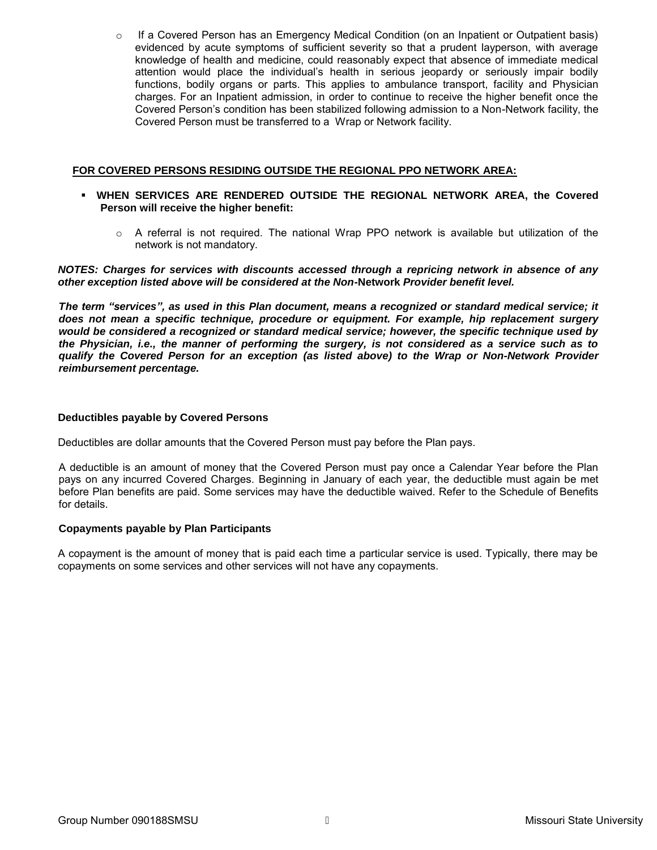$\circ$  If a Covered Person has an Emergency Medical Condition (on an Inpatient or Outpatient basis) evidenced by acute symptoms of sufficient severity so that a prudent layperson, with average knowledge of health and medicine, could reasonably expect that absence of immediate medical attention would place the individual's health in serious jeopardy or seriously impair bodily functions, bodily organs or parts. This applies to ambulance transport, facility and Physician charges. For an Inpatient admission, in order to continue to receive the higher benefit once the Covered Person's condition has been stabilized following admission to a Non-Network facility, the Covered Person must be transferred to a Wrap or Network facility.

### **FOR COVERED PERSONS RESIDING OUTSIDE THE REGIONAL PPO NETWORK AREA:**

- **WHEN SERVICES ARE RENDERED OUTSIDE THE REGIONAL NETWORK AREA, the Covered Person will receive the higher benefit:** 
	- $\circ$  A referral is not required. The national Wrap PPO network is available but utilization of the network is not mandatory.

*NOTES: Charges for services with discounts accessed through a repricing network in absence of any other exception listed above will be considered at the Non***-Network** *Provider benefit level.* 

*The term "services", as used in this Plan document, means a recognized or standard medical service; it does not mean a specific technique, procedure or equipment. For example, hip replacement surgery would be considered a recognized or standard medical service; however, the specific technique used by the Physician, i.e., the manner of performing the surgery, is not considered as a service such as to qualify the Covered Person for an exception (as listed above) to the Wrap or Non-Network Provider reimbursement percentage.* 

### **Deductibles payable by Covered Persons**

Deductibles are dollar amounts that the Covered Person must pay before the Plan pays.

A deductible is an amount of money that the Covered Person must pay once a Calendar Year before the Plan pays on any incurred Covered Charges. Beginning in January of each year, the deductible must again be met before Plan benefits are paid. Some services may have the deductible waived. Refer to the Schedule of Benefits for details.

### **Copayments payable by Plan Participants**

A copayment is the amount of money that is paid each time a particular service is used. Typically, there may be copayments on some services and other services will not have any copayments.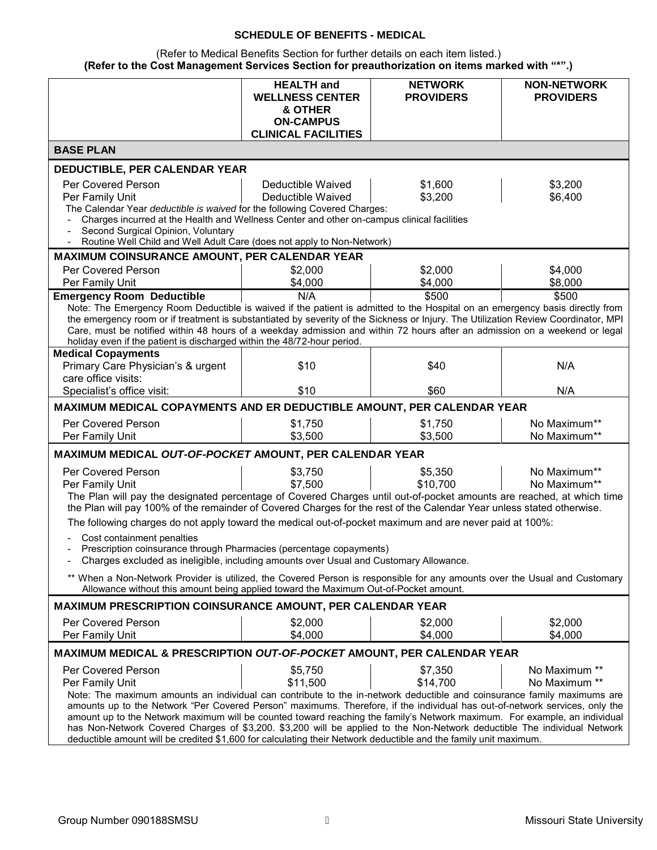# **SCHEDULE OF BENEFITS - MEDICAL**

(Refer to Medical Benefits Section for further details on each item listed.) **(Refer to the Cost Management Services Section for preauthorization on items marked with "\*".)**

|                                                                                                                                                                                                                                                                  | <b>HEALTH</b> and           | <b>NETWORK</b>   | <b>NON-NETWORK</b> |
|------------------------------------------------------------------------------------------------------------------------------------------------------------------------------------------------------------------------------------------------------------------|-----------------------------|------------------|--------------------|
|                                                                                                                                                                                                                                                                  | <b>WELLNESS CENTER</b>      | <b>PROVIDERS</b> | <b>PROVIDERS</b>   |
|                                                                                                                                                                                                                                                                  | & OTHER<br><b>ON-CAMPUS</b> |                  |                    |
|                                                                                                                                                                                                                                                                  | <b>CLINICAL FACILITIES</b>  |                  |                    |
| <b>BASE PLAN</b>                                                                                                                                                                                                                                                 |                             |                  |                    |
| <b>DEDUCTIBLE, PER CALENDAR YEAR</b>                                                                                                                                                                                                                             |                             |                  |                    |
| Per Covered Person                                                                                                                                                                                                                                               | Deductible Waived           | \$1,600          | \$3,200            |
| Per Family Unit                                                                                                                                                                                                                                                  | Deductible Waived           | \$3,200          | \$6,400            |
| The Calendar Year deductible is waived for the following Covered Charges:                                                                                                                                                                                        |                             |                  |                    |
| Charges incurred at the Health and Wellness Center and other on-campus clinical facilities                                                                                                                                                                       |                             |                  |                    |
| Second Surgical Opinion, Voluntary<br>Routine Well Child and Well Adult Care (does not apply to Non-Network)                                                                                                                                                     |                             |                  |                    |
| MAXIMUM COINSURANCE AMOUNT, PER CALENDAR YEAR                                                                                                                                                                                                                    |                             |                  |                    |
| Per Covered Person                                                                                                                                                                                                                                               | \$2,000                     | \$2,000          | \$4,000            |
| Per Family Unit                                                                                                                                                                                                                                                  | \$4,000                     | \$4,000          | \$8,000            |
| <b>Emergency Room Deductible</b>                                                                                                                                                                                                                                 | N/A                         | \$500            | \$500              |
| Note: The Emergency Room Deductible is waived if the patient is admitted to the Hospital on an emergency basis directly from                                                                                                                                     |                             |                  |                    |
| the emergency room or if treatment is substantiated by severity of the Sickness or Injury. The Utilization Review Coordinator, MPI<br>Care, must be notified within 48 hours of a weekday admission and within 72 hours after an admission on a weekend or legal |                             |                  |                    |
| holiday even if the patient is discharged within the 48/72-hour period.                                                                                                                                                                                          |                             |                  |                    |
| <b>Medical Copayments</b>                                                                                                                                                                                                                                        |                             |                  |                    |
| Primary Care Physician's & urgent                                                                                                                                                                                                                                | \$10                        | \$40             | N/A                |
| care office visits:                                                                                                                                                                                                                                              |                             |                  |                    |
| Specialist's office visit:                                                                                                                                                                                                                                       | \$10                        | \$60             | N/A                |
| MAXIMUM MEDICAL COPAYMENTS AND ER DEDUCTIBLE AMOUNT, PER CALENDAR YEAR                                                                                                                                                                                           |                             |                  |                    |
| Per Covered Person                                                                                                                                                                                                                                               | \$1,750                     | \$1,750          | No Maximum**       |
| Per Family Unit                                                                                                                                                                                                                                                  | \$3,500                     | \$3,500          | No Maximum**       |
| MAXIMUM MEDICAL OUT-OF-POCKET AMOUNT, PER CALENDAR YEAR                                                                                                                                                                                                          |                             |                  |                    |
| Per Covered Person                                                                                                                                                                                                                                               | \$3,750                     | \$5,350          | No Maximum**       |
| Per Family Unit                                                                                                                                                                                                                                                  | \$7,500                     | \$10,700         | No Maximum**       |
| The Plan will pay the designated percentage of Covered Charges until out-of-pocket amounts are reached, at which time<br>the Plan will pay 100% of the remainder of Covered Charges for the rest of the Calendar Year unless stated otherwise.                   |                             |                  |                    |
|                                                                                                                                                                                                                                                                  |                             |                  |                    |
| The following charges do not apply toward the medical out-of-pocket maximum and are never paid at 100%:                                                                                                                                                          |                             |                  |                    |
| Cost containment penalties<br>Prescription coinsurance through Pharmacies (percentage copayments)                                                                                                                                                                |                             |                  |                    |
| Charges excluded as ineligible, including amounts over Usual and Customary Allowance.                                                                                                                                                                            |                             |                  |                    |
| ** When a Non-Network Provider is utilized, the Covered Person is responsible for any amounts over the Usual and Customary                                                                                                                                       |                             |                  |                    |
| Allowance without this amount being applied toward the Maximum Out-of-Pocket amount.                                                                                                                                                                             |                             |                  |                    |
| <b>MAXIMUM PRESCRIPTION COINSURANCE AMOUNT, PER CALENDAR YEAR</b>                                                                                                                                                                                                |                             |                  |                    |
| Per Covered Person                                                                                                                                                                                                                                               | \$2,000                     | \$2,000          | \$2,000            |
| Per Family Unit                                                                                                                                                                                                                                                  | \$4,000                     | \$4,000          | \$4,000            |
|                                                                                                                                                                                                                                                                  |                             |                  |                    |
| MAXIMUM MEDICAL & PRESCRIPTION OUT-OF-POCKET AMOUNT, PER CALENDAR YEAR                                                                                                                                                                                           |                             |                  |                    |
| Per Covered Person                                                                                                                                                                                                                                               | \$5,750                     | \$7,350          | No Maximum **      |
| Per Family Unit                                                                                                                                                                                                                                                  | \$11,500                    | \$14,700         | No Maximum **      |
| Note: The maximum amounts an individual can contribute to the in-network deductible and coinsurance family maximums are                                                                                                                                          |                             |                  |                    |
| amounts up to the Network "Per Covered Person" maximums. Therefore, if the individual has out-of-network services, only the<br>amount up to the Network maximum will be counted toward reaching the family's Network maximum. For example, an individual         |                             |                  |                    |
| has Non-Network Covered Charges of \$3,200. \$3,200 will be applied to the Non-Network deductible The individual Network                                                                                                                                         |                             |                  |                    |
| deductible amount will be credited \$1,600 for calculating their Network deductible and the family unit maximum.                                                                                                                                                 |                             |                  |                    |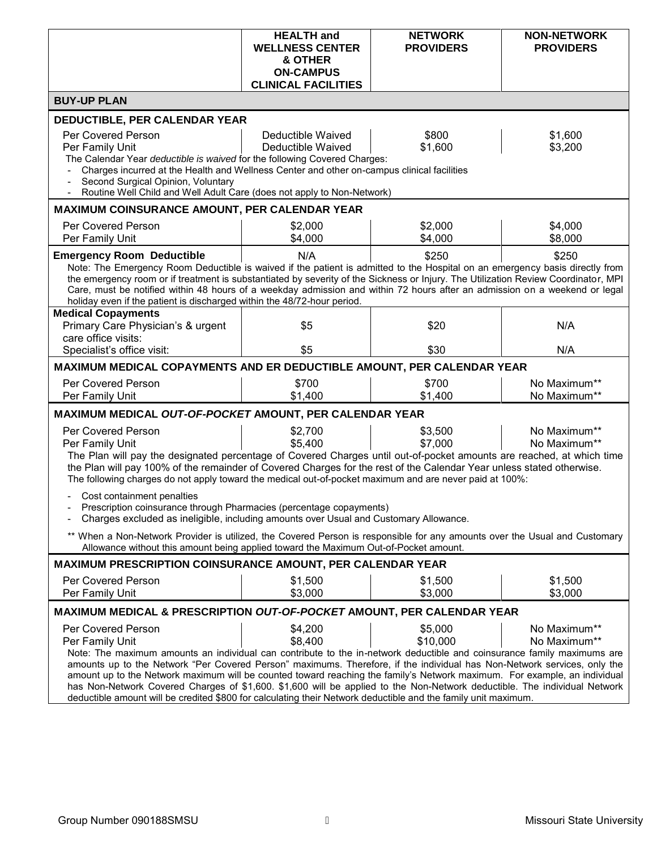|                                                                                                                                                                                                                                                                                                                                                                                                                                                                                                                                                                                                                                                                                                                                                       | <b>HEALTH</b> and<br><b>WELLNESS CENTER</b><br>& OTHER<br><b>ON-CAMPUS</b><br><b>CLINICAL FACILITIES</b> | <b>NETWORK</b><br><b>PROVIDERS</b> | <b>NON-NETWORK</b><br><b>PROVIDERS</b> |
|-------------------------------------------------------------------------------------------------------------------------------------------------------------------------------------------------------------------------------------------------------------------------------------------------------------------------------------------------------------------------------------------------------------------------------------------------------------------------------------------------------------------------------------------------------------------------------------------------------------------------------------------------------------------------------------------------------------------------------------------------------|----------------------------------------------------------------------------------------------------------|------------------------------------|----------------------------------------|
| <b>BUY-UP PLAN</b>                                                                                                                                                                                                                                                                                                                                                                                                                                                                                                                                                                                                                                                                                                                                    |                                                                                                          |                                    |                                        |
| <b>DEDUCTIBLE, PER CALENDAR YEAR</b>                                                                                                                                                                                                                                                                                                                                                                                                                                                                                                                                                                                                                                                                                                                  |                                                                                                          |                                    |                                        |
| Per Covered Person<br>\$800<br>Deductible Waived<br>\$1,600<br>\$1,600<br>\$3,200<br>Per Family Unit<br>Deductible Waived<br>The Calendar Year deductible is waived for the following Covered Charges:<br>Charges incurred at the Health and Wellness Center and other on-campus clinical facilities<br>Second Surgical Opinion, Voluntary<br>Routine Well Child and Well Adult Care (does not apply to Non-Network)                                                                                                                                                                                                                                                                                                                                  |                                                                                                          |                                    |                                        |
| MAXIMUM COINSURANCE AMOUNT, PER CALENDAR YEAR                                                                                                                                                                                                                                                                                                                                                                                                                                                                                                                                                                                                                                                                                                         |                                                                                                          |                                    |                                        |
| Per Covered Person<br>Per Family Unit                                                                                                                                                                                                                                                                                                                                                                                                                                                                                                                                                                                                                                                                                                                 | \$2,000<br>\$4,000                                                                                       | \$2,000<br>\$4,000                 | \$4,000<br>\$8,000                     |
| <b>Emergency Room Deductible</b><br>Note: The Emergency Room Deductible is waived if the patient is admitted to the Hospital on an emergency basis directly from<br>the emergency room or if treatment is substantiated by severity of the Sickness or Injury. The Utilization Review Coordinator, MPI<br>Care, must be notified within 48 hours of a weekday admission and within 72 hours after an admission on a weekend or legal<br>holiday even if the patient is discharged within the 48/72-hour period.                                                                                                                                                                                                                                       | N/A                                                                                                      | \$250                              | \$250                                  |
| <b>Medical Copayments</b><br>Primary Care Physician's & urgent<br>care office visits:                                                                                                                                                                                                                                                                                                                                                                                                                                                                                                                                                                                                                                                                 | \$5                                                                                                      | \$20                               | N/A                                    |
| Specialist's office visit:                                                                                                                                                                                                                                                                                                                                                                                                                                                                                                                                                                                                                                                                                                                            | \$5                                                                                                      | \$30                               | N/A                                    |
| MAXIMUM MEDICAL COPAYMENTS AND ER DEDUCTIBLE AMOUNT, PER CALENDAR YEAR                                                                                                                                                                                                                                                                                                                                                                                                                                                                                                                                                                                                                                                                                |                                                                                                          |                                    |                                        |
| Per Covered Person<br>Per Family Unit                                                                                                                                                                                                                                                                                                                                                                                                                                                                                                                                                                                                                                                                                                                 | \$700<br>\$1,400                                                                                         | \$700<br>\$1,400                   | No Maximum**<br>No Maximum**           |
| MAXIMUM MEDICAL OUT-OF-POCKET AMOUNT, PER CALENDAR YEAR                                                                                                                                                                                                                                                                                                                                                                                                                                                                                                                                                                                                                                                                                               |                                                                                                          |                                    |                                        |
| Per Covered Person<br>Per Family Unit<br>The Plan will pay the designated percentage of Covered Charges until out-of-pocket amounts are reached, at which time<br>the Plan will pay 100% of the remainder of Covered Charges for the rest of the Calendar Year unless stated otherwise.<br>The following charges do not apply toward the medical out-of-pocket maximum and are never paid at 100%:                                                                                                                                                                                                                                                                                                                                                    | \$2,700<br>\$5,400                                                                                       | \$3,500<br>\$7,000                 | No Maximum**<br>No Maximum**           |
| Cost containment penalties<br>Prescription coinsurance through Pharmacies (percentage copayments)<br>Charges excluded as ineligible, including amounts over Usual and Customary Allowance.                                                                                                                                                                                                                                                                                                                                                                                                                                                                                                                                                            |                                                                                                          |                                    |                                        |
| ** When a Non-Network Provider is utilized, the Covered Person is responsible for any amounts over the Usual and Customary<br>Allowance without this amount being applied toward the Maximum Out-of-Pocket amount.                                                                                                                                                                                                                                                                                                                                                                                                                                                                                                                                    |                                                                                                          |                                    |                                        |
| <b>MAXIMUM PRESCRIPTION COINSURANCE AMOUNT, PER CALENDAR YEAR</b>                                                                                                                                                                                                                                                                                                                                                                                                                                                                                                                                                                                                                                                                                     |                                                                                                          |                                    |                                        |
| Per Covered Person<br>Per Family Unit                                                                                                                                                                                                                                                                                                                                                                                                                                                                                                                                                                                                                                                                                                                 | \$1,500<br>\$3,000                                                                                       | \$1,500<br>\$3,000                 | \$1,500<br>\$3,000                     |
| MAXIMUM MEDICAL & PRESCRIPTION OUT-OF-POCKET AMOUNT, PER CALENDAR YEAR                                                                                                                                                                                                                                                                                                                                                                                                                                                                                                                                                                                                                                                                                |                                                                                                          |                                    |                                        |
| \$4,200<br>\$5,000<br>Per Covered Person<br>No Maximum**<br>\$8,400<br>\$10,000<br>Per Family Unit<br>No Maximum**<br>Note: The maximum amounts an individual can contribute to the in-network deductible and coinsurance family maximums are<br>amounts up to the Network "Per Covered Person" maximums. Therefore, if the individual has Non-Network services, only the<br>amount up to the Network maximum will be counted toward reaching the family's Network maximum. For example, an individual<br>has Non-Network Covered Charges of \$1,600. \$1,600 will be applied to the Non-Network deductible. The individual Network<br>deductible amount will be credited \$800 for calculating their Network deductible and the family unit maximum. |                                                                                                          |                                    |                                        |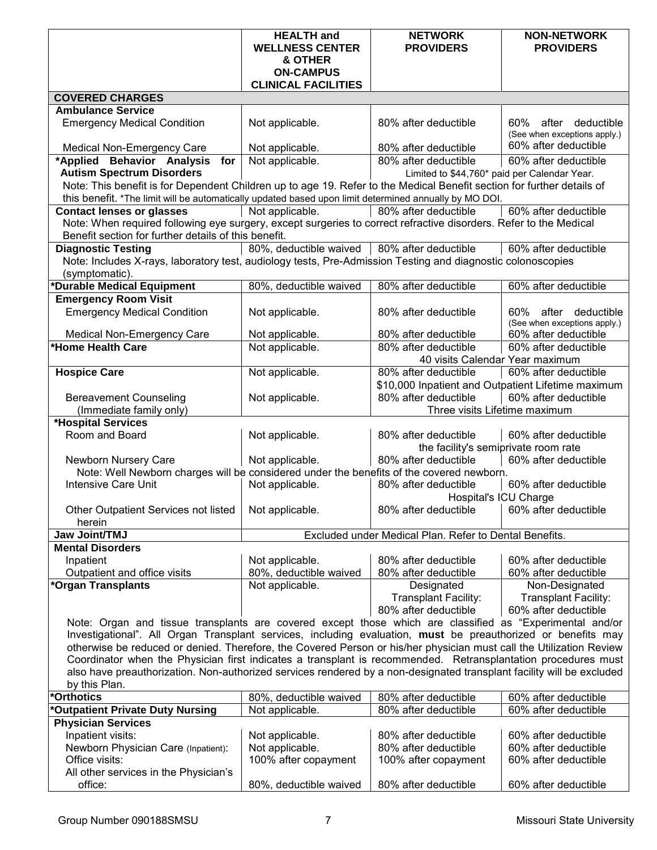|                                                                                                                                                                                                                                        | <b>HEALTH</b> and                             | <b>NETWORK</b>                                               | <b>NON-NETWORK</b>                           |
|----------------------------------------------------------------------------------------------------------------------------------------------------------------------------------------------------------------------------------------|-----------------------------------------------|--------------------------------------------------------------|----------------------------------------------|
|                                                                                                                                                                                                                                        | <b>WELLNESS CENTER</b>                        | <b>PROVIDERS</b>                                             | <b>PROVIDERS</b>                             |
|                                                                                                                                                                                                                                        | & OTHER                                       |                                                              |                                              |
|                                                                                                                                                                                                                                        | <b>ON-CAMPUS</b>                              |                                                              |                                              |
|                                                                                                                                                                                                                                        | <b>CLINICAL FACILITIES</b>                    |                                                              |                                              |
| <b>COVERED CHARGES</b><br><b>Ambulance Service</b>                                                                                                                                                                                     |                                               |                                                              |                                              |
| <b>Emergency Medical Condition</b>                                                                                                                                                                                                     | Not applicable.                               | 80% after deductible                                         | 60%<br>after<br>deductible                   |
|                                                                                                                                                                                                                                        |                                               |                                                              | (See when exceptions apply.)                 |
| <b>Medical Non-Emergency Care</b>                                                                                                                                                                                                      | Not applicable.                               | 80% after deductible                                         | 60% after deductible                         |
| *Applied Behavior Analysis for                                                                                                                                                                                                         | Not applicable.                               | 80% after deductible                                         | 60% after deductible                         |
| <b>Autism Spectrum Disorders</b>                                                                                                                                                                                                       |                                               | Limited to \$44,760* paid per Calendar Year.                 |                                              |
| Note: This benefit is for Dependent Children up to age 19. Refer to the Medical Benefit section for further details of                                                                                                                 |                                               |                                                              |                                              |
| this benefit. *The limit will be automatically updated based upon limit determined annually by MO DOI.<br><b>Contact lenses or glasses</b>                                                                                             | Not applicable.                               | 80% after deductible                                         | 60% after deductible                         |
| Note: When required following eye surgery, except surgeries to correct refractive disorders. Refer to the Medical                                                                                                                      |                                               |                                                              |                                              |
| Benefit section for further details of this benefit.                                                                                                                                                                                   |                                               |                                                              |                                              |
| <b>Diagnostic Testing</b>                                                                                                                                                                                                              | 80%, deductible waived   80% after deductible |                                                              | 60% after deductible                         |
| Note: Includes X-rays, laboratory test, audiology tests, Pre-Admission Testing and diagnostic colonoscopies                                                                                                                            |                                               |                                                              |                                              |
| (symptomatic).                                                                                                                                                                                                                         |                                               |                                                              |                                              |
| *Durable Medical Equipment                                                                                                                                                                                                             | 80%, deductible waived                        | 80% after deductible                                         | 60% after deductible                         |
| <b>Emergency Room Visit</b>                                                                                                                                                                                                            |                                               |                                                              |                                              |
| <b>Emergency Medical Condition</b>                                                                                                                                                                                                     | Not applicable.                               | 80% after deductible                                         | after<br>deductible<br>60%                   |
|                                                                                                                                                                                                                                        |                                               |                                                              | (See when exceptions apply.)                 |
| <b>Medical Non-Emergency Care</b>                                                                                                                                                                                                      | Not applicable.                               | 80% after deductible                                         | 60% after deductible                         |
| *Home Health Care                                                                                                                                                                                                                      | Not applicable.                               | 80% after deductible                                         | 60% after deductible                         |
|                                                                                                                                                                                                                                        |                                               | 40 visits Calendar Year maximum                              |                                              |
| <b>Hospice Care</b>                                                                                                                                                                                                                    | Not applicable.                               | 80% after deductible                                         | 60% after deductible                         |
|                                                                                                                                                                                                                                        |                                               | \$10,000 Inpatient and Outpatient Lifetime maximum           |                                              |
| <b>Bereavement Counseling</b>                                                                                                                                                                                                          | Not applicable.                               | 80% after deductible                                         | 60% after deductible                         |
| (Immediate family only)                                                                                                                                                                                                                |                                               | Three visits Lifetime maximum                                |                                              |
| *Hospital Services                                                                                                                                                                                                                     |                                               |                                                              |                                              |
| Room and Board                                                                                                                                                                                                                         | Not applicable.                               | 80% after deductible                                         | 60% after deductible                         |
|                                                                                                                                                                                                                                        |                                               | the facility's semiprivate room rate<br>80% after deductible |                                              |
| Newborn Nursery Care<br>Note: Well Newborn charges will be considered under the benefits of the covered newborn.                                                                                                                       | Not applicable.                               |                                                              | 60% after deductible                         |
| <b>Intensive Care Unit</b>                                                                                                                                                                                                             | Not applicable.                               | 80% after deductible                                         | 60% after deductible                         |
|                                                                                                                                                                                                                                        |                                               |                                                              | <b>Hospital's ICU Charge</b>                 |
| Other Outpatient Services not listed   Not applicable.                                                                                                                                                                                 |                                               | 80% after deductible   60% after deductible                  |                                              |
| herein                                                                                                                                                                                                                                 |                                               |                                                              |                                              |
| <b>Jaw Joint/TMJ</b>                                                                                                                                                                                                                   |                                               | Excluded under Medical Plan. Refer to Dental Benefits.       |                                              |
| <b>Mental Disorders</b>                                                                                                                                                                                                                |                                               |                                                              |                                              |
| Inpatient                                                                                                                                                                                                                              | Not applicable.                               | 80% after deductible                                         | 60% after deductible                         |
| Outpatient and office visits                                                                                                                                                                                                           | 80%, deductible waived                        | 80% after deductible                                         | 60% after deductible                         |
| *Organ Transplants                                                                                                                                                                                                                     | Not applicable.                               | Designated                                                   | Non-Designated                               |
|                                                                                                                                                                                                                                        |                                               | <b>Transplant Facility:</b>                                  | <b>Transplant Facility:</b>                  |
|                                                                                                                                                                                                                                        |                                               | 80% after deductible                                         | 60% after deductible                         |
| Note: Organ and tissue transplants are covered except those which are classified as "Experimental and/or                                                                                                                               |                                               |                                                              |                                              |
| Investigational". All Organ Transplant services, including evaluation, must be preauthorized or benefits may                                                                                                                           |                                               |                                                              |                                              |
| otherwise be reduced or denied. Therefore, the Covered Person or his/her physician must call the Utilization Review                                                                                                                    |                                               |                                                              |                                              |
| Coordinator when the Physician first indicates a transplant is recommended. Retransplantation procedures must<br>also have preauthorization. Non-authorized services rendered by a non-designated transplant facility will be excluded |                                               |                                                              |                                              |
|                                                                                                                                                                                                                                        |                                               |                                                              |                                              |
| by this Plan.                                                                                                                                                                                                                          |                                               |                                                              |                                              |
| *Orthotics                                                                                                                                                                                                                             | 80%, deductible waived                        | 80% after deductible                                         | 60% after deductible                         |
| *Outpatient Private Duty Nursing                                                                                                                                                                                                       | Not applicable.                               | 80% after deductible                                         | 60% after deductible                         |
| <b>Physician Services</b>                                                                                                                                                                                                              |                                               |                                                              |                                              |
| Inpatient visits:<br>Newborn Physician Care (Inpatient):                                                                                                                                                                               | Not applicable.<br>Not applicable.            | 80% after deductible<br>80% after deductible                 | 60% after deductible<br>60% after deductible |
| Office visits:                                                                                                                                                                                                                         | 100% after copayment                          | 100% after copayment                                         | 60% after deductible                         |
| All other services in the Physician's                                                                                                                                                                                                  |                                               |                                                              |                                              |
| office:                                                                                                                                                                                                                                | 80%, deductible waived                        | 80% after deductible                                         | 60% after deductible                         |
|                                                                                                                                                                                                                                        |                                               |                                                              |                                              |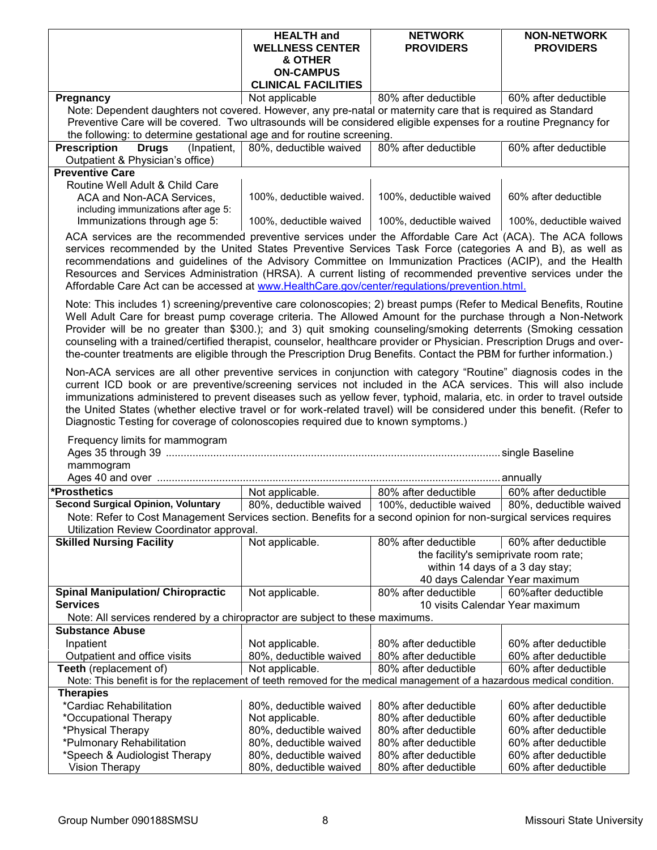|                                                                                                                                                                                                                                                                                                                                                                                                                                                                                                                                                                                                                | <b>HEALTH</b> and<br><b>WELLNESS CENTER</b><br>& OTHER<br><b>ON-CAMPUS</b><br><b>CLINICAL FACILITIES</b> | <b>NETWORK</b><br><b>PROVIDERS</b>              | <b>NON-NETWORK</b><br><b>PROVIDERS</b>         |
|----------------------------------------------------------------------------------------------------------------------------------------------------------------------------------------------------------------------------------------------------------------------------------------------------------------------------------------------------------------------------------------------------------------------------------------------------------------------------------------------------------------------------------------------------------------------------------------------------------------|----------------------------------------------------------------------------------------------------------|-------------------------------------------------|------------------------------------------------|
| Pregnancy                                                                                                                                                                                                                                                                                                                                                                                                                                                                                                                                                                                                      | Not applicable                                                                                           | 80% after deductible                            | 60% after deductible                           |
| Note: Dependent daughters not covered. However, any pre-natal or maternity care that is required as Standard                                                                                                                                                                                                                                                                                                                                                                                                                                                                                                   |                                                                                                          |                                                 |                                                |
| Preventive Care will be covered. Two ultrasounds will be considered eligible expenses for a routine Pregnancy for                                                                                                                                                                                                                                                                                                                                                                                                                                                                                              |                                                                                                          |                                                 |                                                |
| the following: to determine gestational age and for routine screening.                                                                                                                                                                                                                                                                                                                                                                                                                                                                                                                                         |                                                                                                          |                                                 |                                                |
| <b>Prescription</b><br><b>Drugs</b><br>(Inpatient,                                                                                                                                                                                                                                                                                                                                                                                                                                                                                                                                                             | 80%, deductible waived                                                                                   | 80% after deductible                            | 60% after deductible                           |
| Outpatient & Physician's office)<br><b>Preventive Care</b>                                                                                                                                                                                                                                                                                                                                                                                                                                                                                                                                                     |                                                                                                          |                                                 |                                                |
| Routine Well Adult & Child Care                                                                                                                                                                                                                                                                                                                                                                                                                                                                                                                                                                                |                                                                                                          |                                                 |                                                |
| ACA and Non-ACA Services,                                                                                                                                                                                                                                                                                                                                                                                                                                                                                                                                                                                      | 100%, deductible waived.                                                                                 | 100%, deductible waived                         | 60% after deductible                           |
| including immunizations after age 5:                                                                                                                                                                                                                                                                                                                                                                                                                                                                                                                                                                           |                                                                                                          |                                                 |                                                |
| Immunizations through age 5:                                                                                                                                                                                                                                                                                                                                                                                                                                                                                                                                                                                   | 100%, deductible waived                                                                                  | 100%, deductible waived                         | 100%, deductible waived                        |
| ACA services are the recommended preventive services under the Affordable Care Act (ACA). The ACA follows<br>services recommended by the United States Preventive Services Task Force (categories A and B), as well as<br>recommendations and guidelines of the Advisory Committee on Immunization Practices (ACIP), and the Health                                                                                                                                                                                                                                                                            |                                                                                                          |                                                 |                                                |
| Resources and Services Administration (HRSA). A current listing of recommended preventive services under the<br>Affordable Care Act can be accessed at www.HealthCare.gov/center/regulations/prevention.html.                                                                                                                                                                                                                                                                                                                                                                                                  |                                                                                                          |                                                 |                                                |
| Note: This includes 1) screening/preventive care colonoscopies; 2) breast pumps (Refer to Medical Benefits, Routine<br>Well Adult Care for breast pump coverage criteria. The Allowed Amount for the purchase through a Non-Network<br>Provider will be no greater than \$300.); and 3) quit smoking counseling/smoking deterrents (Smoking cessation<br>counseling with a trained/certified therapist, counselor, healthcare provider or Physician. Prescription Drugs and over-<br>the-counter treatments are eligible through the Prescription Drug Benefits. Contact the PBM for further information.)     |                                                                                                          |                                                 |                                                |
| Non-ACA services are all other preventive services in conjunction with category "Routine" diagnosis codes in the<br>current ICD book or are preventive/screening services not included in the ACA services. This will also include<br>immunizations administered to prevent diseases such as yellow fever, typhoid, malaria, etc. in order to travel outside<br>the United States (whether elective travel or for work-related travel) will be considered under this benefit. (Refer to<br>Diagnostic Testing for coverage of colonoscopies required due to known symptoms.)<br>Frequency limits for mammogram |                                                                                                          |                                                 |                                                |
|                                                                                                                                                                                                                                                                                                                                                                                                                                                                                                                                                                                                                |                                                                                                          |                                                 |                                                |
| mammogram                                                                                                                                                                                                                                                                                                                                                                                                                                                                                                                                                                                                      |                                                                                                          |                                                 |                                                |
| *Prosthetics                                                                                                                                                                                                                                                                                                                                                                                                                                                                                                                                                                                                   |                                                                                                          |                                                 |                                                |
| <b>Second Surgical Opinion, Voluntary</b>                                                                                                                                                                                                                                                                                                                                                                                                                                                                                                                                                                      | Not applicable.<br>80%, deductible waived                                                                | 80% after deductible<br>100%, deductible waived | 60% after deductible<br>80%, deductible waived |
| Note: Refer to Cost Management Services section. Benefits for a second opinion for non-surgical services requires                                                                                                                                                                                                                                                                                                                                                                                                                                                                                              |                                                                                                          |                                                 |                                                |
| Utilization Review Coordinator approval.<br><b>Skilled Nursing Facility</b>                                                                                                                                                                                                                                                                                                                                                                                                                                                                                                                                    | Not applicable.                                                                                          | 80% after deductible                            | 60% after deductible                           |
|                                                                                                                                                                                                                                                                                                                                                                                                                                                                                                                                                                                                                |                                                                                                          |                                                 | the facility's semiprivate room rate;          |
|                                                                                                                                                                                                                                                                                                                                                                                                                                                                                                                                                                                                                |                                                                                                          | within 14 days of a 3 day stay;                 |                                                |
|                                                                                                                                                                                                                                                                                                                                                                                                                                                                                                                                                                                                                |                                                                                                          | 40 days Calendar Year maximum                   |                                                |
| <b>Spinal Manipulation/ Chiropractic</b>                                                                                                                                                                                                                                                                                                                                                                                                                                                                                                                                                                       | Not applicable.                                                                                          | 80% after deductible                            | 60% after deductible                           |
| <b>Services</b>                                                                                                                                                                                                                                                                                                                                                                                                                                                                                                                                                                                                |                                                                                                          | 10 visits Calendar Year maximum                 |                                                |
| Note: All services rendered by a chiropractor are subject to these maximums.                                                                                                                                                                                                                                                                                                                                                                                                                                                                                                                                   |                                                                                                          |                                                 |                                                |
| <b>Substance Abuse</b>                                                                                                                                                                                                                                                                                                                                                                                                                                                                                                                                                                                         |                                                                                                          |                                                 |                                                |
| Inpatient                                                                                                                                                                                                                                                                                                                                                                                                                                                                                                                                                                                                      | Not applicable.                                                                                          | 80% after deductible                            | 60% after deductible                           |
| Outpatient and office visits                                                                                                                                                                                                                                                                                                                                                                                                                                                                                                                                                                                   | 80%, deductible waived                                                                                   | 80% after deductible                            | 60% after deductible                           |
| Teeth (replacement of)                                                                                                                                                                                                                                                                                                                                                                                                                                                                                                                                                                                         | Not applicable.                                                                                          | 80% after deductible                            | 60% after deductible                           |
| Note: This benefit is for the replacement of teeth removed for the medical management of a hazardous medical condition.                                                                                                                                                                                                                                                                                                                                                                                                                                                                                        |                                                                                                          |                                                 |                                                |
| <b>Therapies</b>                                                                                                                                                                                                                                                                                                                                                                                                                                                                                                                                                                                               |                                                                                                          |                                                 |                                                |
| *Cardiac Rehabilitation<br>*Occupational Therapy                                                                                                                                                                                                                                                                                                                                                                                                                                                                                                                                                               | 80%, deductible waived<br>Not applicable.                                                                | 80% after deductible<br>80% after deductible    | 60% after deductible<br>60% after deductible   |
| *Physical Therapy                                                                                                                                                                                                                                                                                                                                                                                                                                                                                                                                                                                              | 80%, deductible waived                                                                                   | 80% after deductible                            | 60% after deductible                           |
| *Pulmonary Rehabilitation                                                                                                                                                                                                                                                                                                                                                                                                                                                                                                                                                                                      | 80%, deductible waived                                                                                   | 80% after deductible                            | 60% after deductible                           |
| *Speech & Audiologist Therapy                                                                                                                                                                                                                                                                                                                                                                                                                                                                                                                                                                                  | 80%, deductible waived                                                                                   | 80% after deductible                            | 60% after deductible                           |
| Vision Therapy                                                                                                                                                                                                                                                                                                                                                                                                                                                                                                                                                                                                 | 80%, deductible waived                                                                                   | 80% after deductible                            | 60% after deductible                           |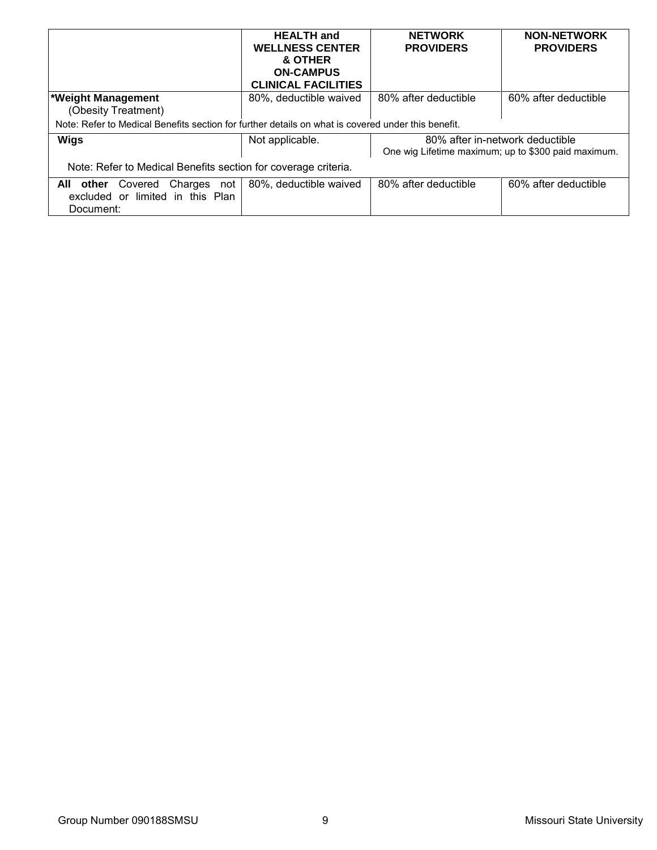|                                                                                                    | <b>HEALTH</b> and<br><b>WELLNESS CENTER</b><br>& OTHER<br><b>ON-CAMPUS</b> | <b>NETWORK</b><br><b>PROVIDERS</b>                                                     | <b>NON-NETWORK</b><br><b>PROVIDERS</b> |
|----------------------------------------------------------------------------------------------------|----------------------------------------------------------------------------|----------------------------------------------------------------------------------------|----------------------------------------|
|                                                                                                    | <b>CLINICAL FACILITIES</b>                                                 |                                                                                        |                                        |
| <b>*Weight Management</b><br>(Obesity Treatment)                                                   | 80%, deductible waived                                                     | 80% after deductible                                                                   | 60% after deductible                   |
| Note: Refer to Medical Benefits section for further details on what is covered under this benefit. |                                                                            |                                                                                        |                                        |
| Wigs                                                                                               | Not applicable.                                                            | 80% after in-network deductible<br>One wig Lifetime maximum; up to \$300 paid maximum. |                                        |
| Note: Refer to Medical Benefits section for coverage criteria.                                     |                                                                            |                                                                                        |                                        |
| Charges not<br>other<br>All<br>Covered<br>excluded or limited in this Plan<br>Document:            | 80%, deductible waived                                                     | 80% after deductible                                                                   | 60% after deductible                   |